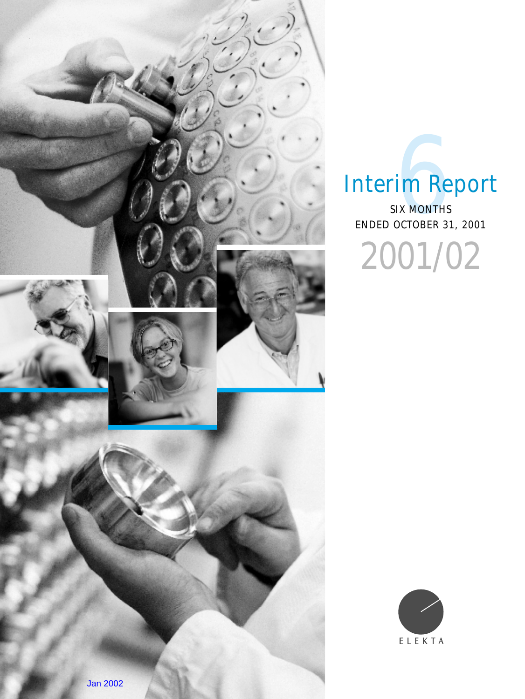

# Interim Report

ENDED OCTOBER 31, 2001 **SIX MONTHS**<br>SIX MONTHS<br>OCTOBER 31 2001/02

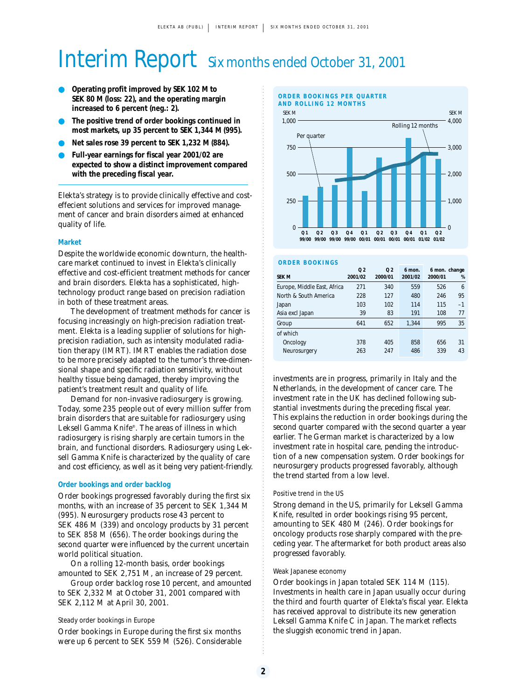## Interim Report Six months ended October 31, 2001

- **Operating profit improved by SEK 102 M to SEK 80 M (loss: 22), and the operating margin increased to 6 percent (neg.: 2).**
- **The positive trend of order bookings continued in most markets, up 35 percent to SEK 1,344 M (995).**
- **Net sales rose 39 percent to SEK 1,232 M (884).**
- **Full-year earnings for fiscal year 2001/02 are expected to show a distinct improvement compared with the preceding fiscal year.**

Elekta's strategy is to provide clinically effective and costeffecient solutions and services for improved management of cancer and brain disorders aimed at enhanced quality of life.

#### **Market**

Despite the worldwide economic downturn, the healthcare market continued to invest in Elekta's clinically effective and cost-efficient treatment methods for cancer and brain disorders. Elekta has a sophisticated, hightechnology product range based on precision radiation in both of these treatment areas.

The development of treatment methods for cancer is focusing increasingly on high-precision radiation treatment. Elekta is a leading supplier of solutions for highprecision radiation, such as intensity modulated radiation therapy (IMRT). IMRT enables the radiation dose to be more precisely adapted to the tumor's three-dimensional shape and specific radiation sensitivity, without healthy tissue being damaged, thereby improving the patient's treatment result and quality of life.

Demand for non-invasive radiosurgery is growing. Today, some 235 people out of every million suffer from brain disorders that are suitable for radiosurgery using Leksell Gamma Knife®. The areas of illness in which radiosurgery is rising sharply are certain tumors in the brain, and functional disorders. Radiosurgery using Leksell Gamma Knife is characterized by the quality of care and cost efficiency, as well as it being very patient-friendly.

#### **Order bookings and order backlog**

Order bookings progressed favorably during the first six months, with an increase of 35 percent to SEK 1,344 M (995). Neurosurgery products rose 43 percent to SEK 486 M (339) and oncology products by 31 percent to SEK 858 M (656). The order bookings during the second quarter were influenced by the current uncertain world political situation.

On a rolling 12-month basis, order bookings amounted to SEK 2,751 M, an increase of 29 percent.

Group order backlog rose 10 percent, and amounted to SEK 2,332 M at October 31, 2001 compared with SEK 2,112 M at April 30, 2001.

#### Steady order bookings in Europe

Order bookings in Europe during the first six months were up 6 percent to SEK 559 M (526). Considerable



#### **ORDER BOOKINGS**

| <b>SEK M</b>                | 0 <sub>2</sub><br>2001/02 | 0 <sub>2</sub><br>2000/01 | 6 mon.<br>2001/02 | 6 mon. change<br>2000/01 | %    |
|-----------------------------|---------------------------|---------------------------|-------------------|--------------------------|------|
| Europe, Middle East, Africa | 271                       | 340                       | 559               | 526                      | 6    |
| North & South America       | 228                       | 127                       | 480               | 246                      | 95   |
| Japan                       | 103                       | 102                       | 114               | 115                      | $-1$ |
| Asia excl Japan             | 39                        | 83                        | 191               | 108                      | 77   |
| Group                       | 641                       | 652                       | 1.344             | 995                      | 35   |
| of which                    |                           |                           |                   |                          |      |
| Oncology                    | 378                       | 405                       | 858               | 656                      | 31   |
| Neurosurgery                | 263                       | 247                       | 486               | 339                      | 43   |

investments are in progress, primarily in Italy and the Netherlands, in the development of cancer care. The investment rate in the UK has declined following substantial investments during the preceding fiscal year. This explains the reduction in order bookings during the second quarter compared with the second quarter a year earlier. The German market is characterized by a low investment rate in hospital care, pending the introduction of a new compensation system. Order bookings for neurosurgery products progressed favorably, although the trend started from a low level.

#### Positive trend in the US

Strong demand in the US, primarily for Leksell Gamma Knife, resulted in order bookings rising 95 percent, amounting to SEK 480 M (246). Order bookings for oncology products rose sharply compared with the preceding year. The aftermarket for both product areas also progressed favorably.

#### Weak Japanese economy

Order bookings in Japan totaled SEK 114 M (115). Investments in health care in Japan usually occur during the third and fourth quarter of Elekta's fiscal year. Elekta has received approval to distribute its new generation Leksell Gamma Knife C in Japan. The market reflects the sluggish economic trend in Japan.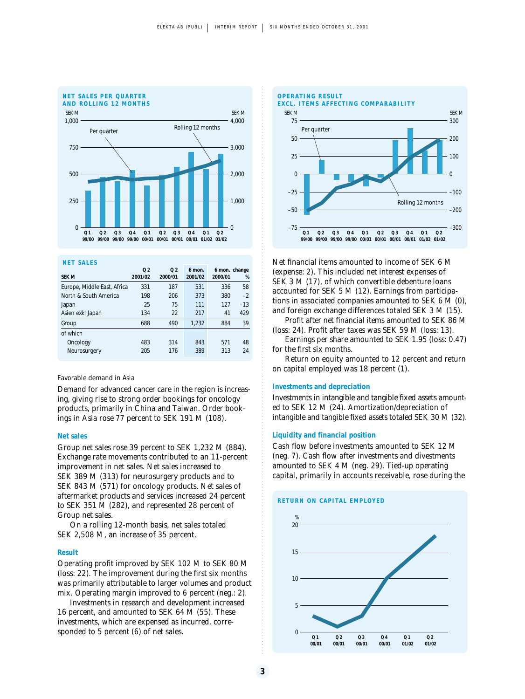

#### **NET SALES**

| <b>SEK M</b>                | 0 <sub>2</sub><br>2001/02 | 0 <sub>2</sub><br>2000/01 | 6 mon.<br>2001/02 | 2000/01 | 6 mon. change<br>% |
|-----------------------------|---------------------------|---------------------------|-------------------|---------|--------------------|
| Europe, Middle East, Africa | 331                       | 187                       | 531               | 336     | 58                 |
| North & South America       | 198                       | 206                       | 373               | 380     | $-2$               |
| Japan                       | 25                        | 75                        | 111               | 127     | $-13$              |
| Asien exkl Japan            | 134                       | 22                        | 217               | 41      | 429                |
| Group                       | 688                       | 490                       | 1,232             | 884     | 39                 |
| of which                    |                           |                           |                   |         |                    |
| Oncology                    | 483                       | 314                       | 843               | 571     | 48                 |
| Neurosurgery                | 205                       | 176                       | 389               | 313     | 24                 |

#### Favorable demand in Asia

Demand for advanced cancer care in the region is increasing, giving rise to strong order bookings for oncology products, primarily in China and Taiwan. Order bookings in Asia rose 77 percent to SEK 191 M (108).

#### **Net sales**

Group net sales rose 39 percent to SEK 1,232 M (884). Exchange rate movements contributed to an 11-percent improvement in net sales. Net sales increased to SEK 389 M (313) for neurosurgery products and to SEK 843 M (571) for oncology products. Net sales of aftermarket products and services increased 24 percent to SEK 351 M (282), and represented 28 percent of Group net sales.

On a rolling 12-month basis, net sales totaled SEK 2,508 M, an increase of 35 percent.

#### **Result**

Operating profit improved by SEK 102 M to SEK 80 M (loss: 22). The improvement during the first six months was primarily attributable to larger volumes and product mix. Operating margin improved to 6 percent (neg.: 2).

Investments in research and development increased 16 percent, and amounted to SEK 64 M (55). These investments, which are expensed as incurred, corresponded to 5 percent (6) of net sales.



Net financial items amounted to income of SEK 6 M (expense: 2). This included net interest expenses of SEK 3 M (17), of which convertible debenture loans accounted for SEK 5 M (12). Earnings from participations in associated companies amounted to SEK 6 M (0), and foreign exchange differences totaled SEK 3 M (15).

Profit after net financial items amounted to SEK 86 M (loss: 24). Profit after taxes was SEK 59 M (loss: 13).

Earnings per share amounted to SEK 1.95 (loss: 0.47) for the first six months.

Return on equity amounted to 12 percent and return on capital employed was 18 percent (1).

#### **Investments and depreciation**

Investments in intangible and tangible fixed assets amounted to SEK 12 M (24). Amortization/depreciation of intangible and tangible fixed assets totaled SEK 30 M (32).

#### **Liquidity and financial position**

Cash flow before investments amounted to SEK 12 M (neg. 7). Cash flow after investments and divestments amounted to SEK 4 M (neg. 29). Tied-up operating capital, primarily in accounts receivable, rose during the



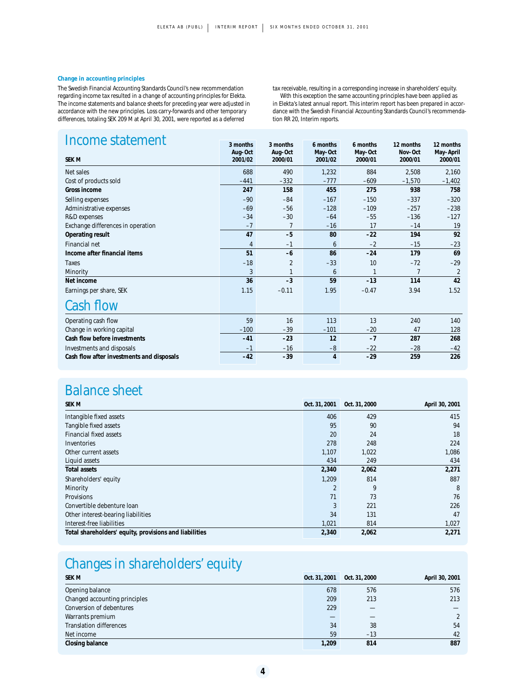#### **Change in accounting principles**

The Swedish Financial Accounting Standards Council's new recommendation regarding income tax resulted in a change of accounting principles for Elekta. The income statements and balance sheets for preceding year were adjusted in accordance with the new principles. Loss carry-forwards and other temporary differences, totaling SEK 209 M at April 30, 2001, were reported as a deferred

tax receivable, resulting in a corresponding increase in shareholders' equity. With this exception the same accounting principles have been applied as in Elekta's latest annual report. This interim report has been prepared in accordance with the Swedish Financial Accounting Standards Council's recommendation RR 20, Interim reports.

| Income statement                          | 3 months       | 3 months       | 6 months | 6 months | 12 months      | 12 months      |
|-------------------------------------------|----------------|----------------|----------|----------|----------------|----------------|
|                                           | Aug-Oct        | Aug-Oct        | May-Oct  | May-Oct  | Nov-Oct        | May-April      |
| <b>SEK M</b>                              | 2001/02        | 2000/01        | 2001/02  | 2000/01  | 2000/01        | 2000/01        |
| Net sales                                 | 688            | 490            | 1,232    | 884      | 2,508          | 2,160          |
| Cost of products sold                     | $-441$         | $-332$         | $-777$   | $-609$   | $-1,570$       | $-1,402$       |
| Gross income                              | 247            | 158            | 455      | 275      | 938            | 758            |
| Selling expenses                          | $-90$          | $-84$          | $-167$   | $-150$   | $-337$         | $-320$         |
| Administrative expenses                   | $-69$          | $-56$          | $-128$   | $-109$   | $-257$         | $-238$         |
| R&D expenses                              | $-34$          | $-30$          | $-64$    | $-55$    | $-136$         | $-127$         |
| Exchange differences in operation         | $-7$           |                | $-16$    | 17       | $-14$          | 19             |
| Operating result                          | 47             | $-5$           | 80       | $-22$    | 194            | 92             |
| <b>Financial net</b>                      | $\overline{4}$ | $-1$           | 6        | $-2$     | $-15$          | $-23$          |
| Income after financial items              | 51             | $-6$           | 86       | $-24$    | 179            | 69             |
| Taxes                                     | $-18$          | $\overline{2}$ | $-33$    | 10       | $-72$          | $-29$          |
| Minority                                  | 3              |                | 6        |          | $\overline{7}$ | $\overline{2}$ |
| Net income                                | 36             | $-3$           | 59       | $-13$    | 114            | 42             |
| Earnings per share, SEK                   | 1.15           | $-0.11$        | 1.95     | $-0.47$  | 3.94           | 1.52           |
| <b>Cash flow</b>                          |                |                |          |          |                |                |
| Operating cash flow                       | 59             | 16             | 113      | 13       | 240            | 140            |
| Change in working capital                 | $-100$         | $-39$          | $-101$   | $-20$    | 47             | 128            |
| Cash flow before investments              | $-41$          | $-23$          | 12       | $-7$     | 287            | 268            |
| Investments and disposals                 | $-1$           | $-16$          | $-8$     | $-22$    | $-28$          | $-42$          |
| Cash flow after investments and disposals | $-42$          | $-39$          | 4        | $-29$    | 259            | 226            |

## Balance sheet

| <b>SEK M</b>                                           | Oct. 31, 2001 | Oct. 31, 2000 | April 30, 2001 |
|--------------------------------------------------------|---------------|---------------|----------------|
| Intangible fixed assets                                | 406           | 429           | 415            |
| Tangible fixed assets                                  | 95            | 90            | 94             |
| <b>Financial fixed assets</b>                          | 20            | 24            | 18             |
| Inventories                                            | 278           | 248           | 224            |
| Other current assets                                   | 1.107         | 1,022         | 1,086          |
| Liquid assets                                          | 434           | 249           | 434            |
| <b>Total assets</b>                                    | 2,340         | 2,062         | 2,271          |
| Shareholders' equity                                   | 1.209         | 814           | 887            |
| Minority                                               | 2             | 9             | 8              |
| <b>Provisions</b>                                      | 71            | 73            | 76             |
| Convertible debenture loan                             | 3             | 221           | 226            |
| Other interest-bearing liabilities                     | 34            | 131           | 47             |
| Interest-free liabilities                              | 1,021         | 814           | 1,027          |
| Total shareholders' equity, provisions and liabilities | 2,340         | 2,062         | 2,271          |

## Changes in shareholders' equity

| <b>SEK M</b>                   | Oct. 31, 2001 | Oct. 31, 2000 | April 30, 2001 |
|--------------------------------|---------------|---------------|----------------|
| Opening balance                | 678           | 576           | 576            |
| Changed accounting principles  | 209           | 213           | 213            |
| Conversion of debentures       | 229           |               |                |
| Warrants premium               |               |               | $\overline{2}$ |
| <b>Translation differences</b> | 34            | 38            | 54             |
| Net income                     | 59            | $-13$         | 42             |
| Closing balance                | 1.209         | 814           | 887            |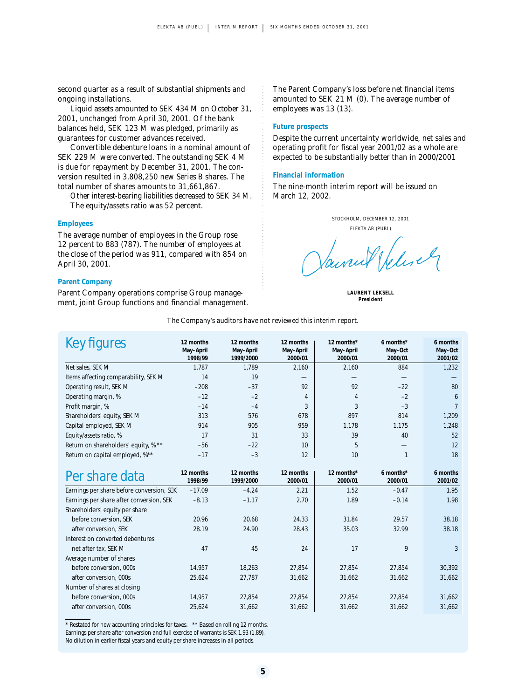second quarter as a result of substantial shipments and ongoing installations.

Liquid assets amounted to SEK 434 M on October 31, 2001, unchanged from April 30, 2001. Of the bank balances held, SEK 123 M was pledged, primarily as guarantees for customer advances received.

Convertible debenture loans in a nominal amount of SEK 229 M were converted. The outstanding SEK 4 M is due for repayment by December 31, 2001. The conversion resulted in 3,808,250 new Series B shares. The total number of shares amounts to 31,661,867.

Other interest-bearing liabilities decreased to SEK 34 M. The equity/assets ratio was 52 percent.

#### **Employees**

The average number of employees in the Group rose 12 percent to 883 (787). The number of employees at the close of the period was 911, compared with 854 on April 30, 2001.

#### **Parent Company**

Parent Company operations comprise Group management, joint Group functions and financial management. The Parent Company's loss before net financial items amounted to SEK 21 M (0). The average number of employees was 13 (13).

#### **Future prospects**

Despite the current uncertainty worldwide, net sales and operating profit for fiscal year 2001/02 as a whole are expected to be substantially better than in 2000/2001

#### **Financial information**

The nine-month interim report will be issued on March 12, 2002.

STOCKHOLM, DECEMBER 12, 2001 ELEKTA AB (PUBL) aurul Welesel

**LAURENT LEKSELL President**

*The Company's auditors have not reviewed this interim report.*

| Key figures                               | 12 months            | 12 months              | 12 months            | 12 months*           | 6 months*          | 6 months           |
|-------------------------------------------|----------------------|------------------------|----------------------|----------------------|--------------------|--------------------|
|                                           | May-April<br>1998/99 | May-April<br>1999/2000 | May-April<br>2000/01 | May-April<br>2000/01 | May-Oct<br>2000/01 | May-Oct<br>2001/02 |
| Net sales, SEK M                          | 1,787                | 1,789                  | 2,160                | 2,160                | 884                | 1,232              |
|                                           |                      |                        |                      |                      |                    |                    |
| Items affecting comparability, SEK M      | 14                   | 19                     |                      |                      |                    |                    |
| Operating result, SEK M                   | $-208$               | $-37$                  | 92                   | 92                   | $-22$              | 80                 |
| Operating margin, %                       | $-12$                | $-2$                   | $\overline{4}$       | 4                    | $-2$               | 6                  |
| Profit margin, %                          | $-14$                | $-4$                   | 3                    | 3                    | $-3$               | $\overline{7}$     |
| Shareholders' equity, SEK M               | 313                  | 576                    | 678                  | 897                  | 814                | 1,209              |
| Capital employed, SEK M                   | 914                  | 905                    | 959                  | 1,178                | 1,175              | 1,248              |
| Equity/assets ratio, %                    | 17                   | 31                     | 33                   | 39                   | 40                 | 52                 |
| Return on shareholders' equity, % **      | $-56$                | $-22$                  | 10                   | 5                    |                    | 12                 |
| Return on capital employed, %**           | $-17$                | $-3$                   | 12                   | 10                   | $\mathbf{1}$       | 18                 |
|                                           |                      |                        |                      |                      |                    |                    |
| Per share data                            | 12 months            | 12 months              | 12 months            | 12 months*           | 6 months*          | 6 months           |
|                                           | 1998/99              | 1999/2000              | 2000/01              | 2000/01              | 2000/01            | 2001/02            |
| Earnings per share before conversion, SEK | $-17.09$             | $-4.24$                | 2.21                 | 1.52                 | $-0.47$            | 1.95               |
| Earnings per share after conversion, SEK  | $-8.13$              | $-1.17$                | 2.70                 | 1.89                 | $-0.14$            | 1.98               |
| Shareholders' equity per share            |                      |                        |                      |                      |                    |                    |
| before conversion, SEK                    | 20.96                | 20.68                  | 24.33                | 31.84                | 29.57              | 38.18              |
| after conversion, SEK                     | 28.19                | 24.90                  | 28.43                | 35.03                | 32.99              | 38.18              |
| Interest on converted debentures          |                      |                        |                      |                      |                    |                    |
| net after tax, SEK M                      | 47                   | 45                     | 24                   | 17                   | 9                  | 3                  |
| Average number of shares                  |                      |                        |                      |                      |                    |                    |
| before conversion, 000s                   | 14,957               | 18,263                 | 27,854               | 27,854               | 27,854             | 30,392             |
| after conversion, 000s                    | 25,624               | 27,787                 | 31,662               | 31,662               | 31,662             | 31,662             |
| Number of shares at closing               |                      |                        |                      |                      |                    |                    |
| before conversion, 000s                   | 14,957               | 27,854                 | 27,854               | 27,854               | 27,854             | 31,662             |
| after conversion, 000s                    | 25,624               | 31,662                 | 31,662               | 31,662               | 31,662             | 31,662             |

\* Restated for new accounting principles for taxes. \*\* Based on rolling 12 months. Earnings per share after conversion and full exercise of warrants is SEK 1.93 (1.89). No dilution in earlier fiscal years and equity per share increases in all periods.